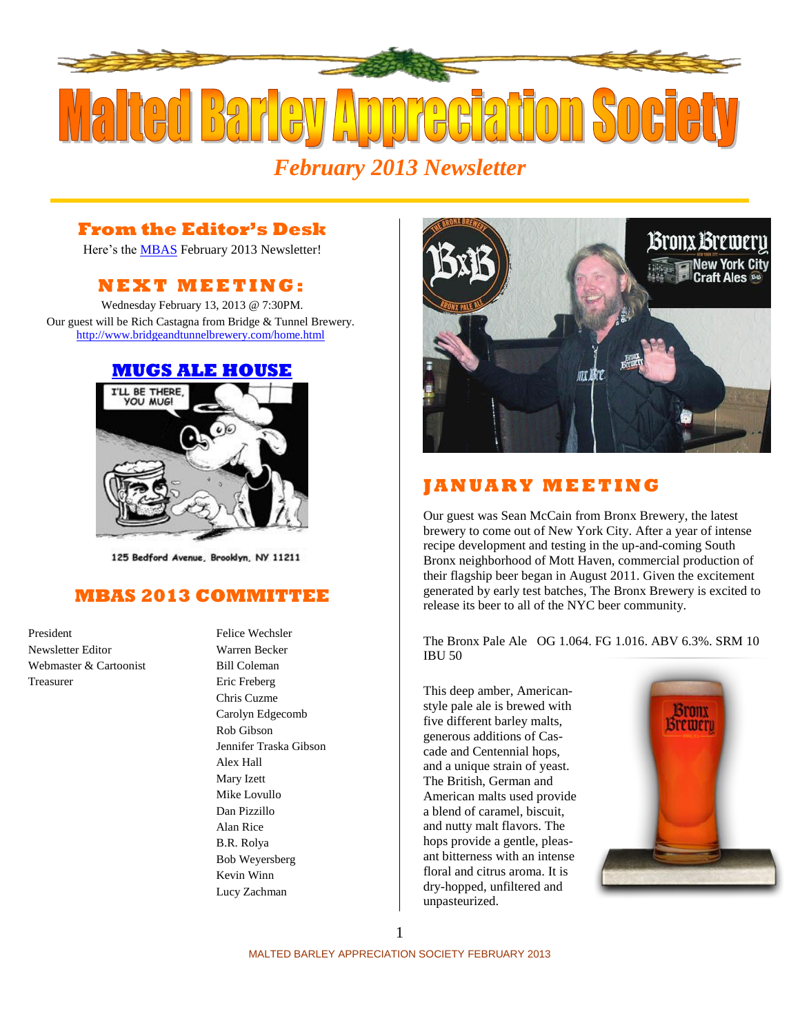

## **From the Editor's Desk**

Here's the **MBAS** February 2013 Newsletter!

## **N E X T M E ETI N G :**

Wednesday February 13, 2013 @ 7:30PM. Our guest will be Rich Castagna from Bridge & Tunnel Brewery. <http://www.bridgeandtunnelbrewery.com/home.html>

#### **[MUGS ALE HOUSE](http://www.mugsalehouse.com/)**



125 Bedford Avenue, Brooklyn, NY 11211

### **MBAS 2013 COMMITTEE**

President Felice Wechsler Newsletter Editor Warren Becker Webmaster & Cartoonist Bill Coleman Treasurer Eric Freberg

Chris Cuzme Carolyn Edgecomb Rob Gibson Jennifer Traska Gibson Alex Hall Mary Izett Mike Lovullo Dan Pizzillo Alan Rice B.R. Rolya Bob Weyersberg Kevin Winn Lucy Zachman



## **J A N U A R Y M E E T I N G**

Our guest was Sean McCain from [Bronx Brewery,](http://www.thebronxbrewery.com/) the latest brewery to come out of New York City. After a year of intense recipe development and testing in the up-and-coming South Bronx neighborhood of Mott Haven, commercial production of their flagship beer began in August 2011. Given the excitement generated by early test batches, The Bronx Brewery is excited to release its beer to all of the NYC beer community.

The Bronx Pale Ale OG 1.064. FG 1.016. ABV 6.3%. SRM 10 IBU 50

This deep amber, Americanstyle pale ale is brewed with five different barley malts, generous additions of Cascade and Centennial hops, and a unique strain of yeast. The British, German and American malts used provide a blend of caramel, biscuit, and nutty malt flavors. The hops provide a gentle, pleasant bitterness with an intense floral and citrus aroma. It is dry-hopped, unfiltered and unpasteurized.



1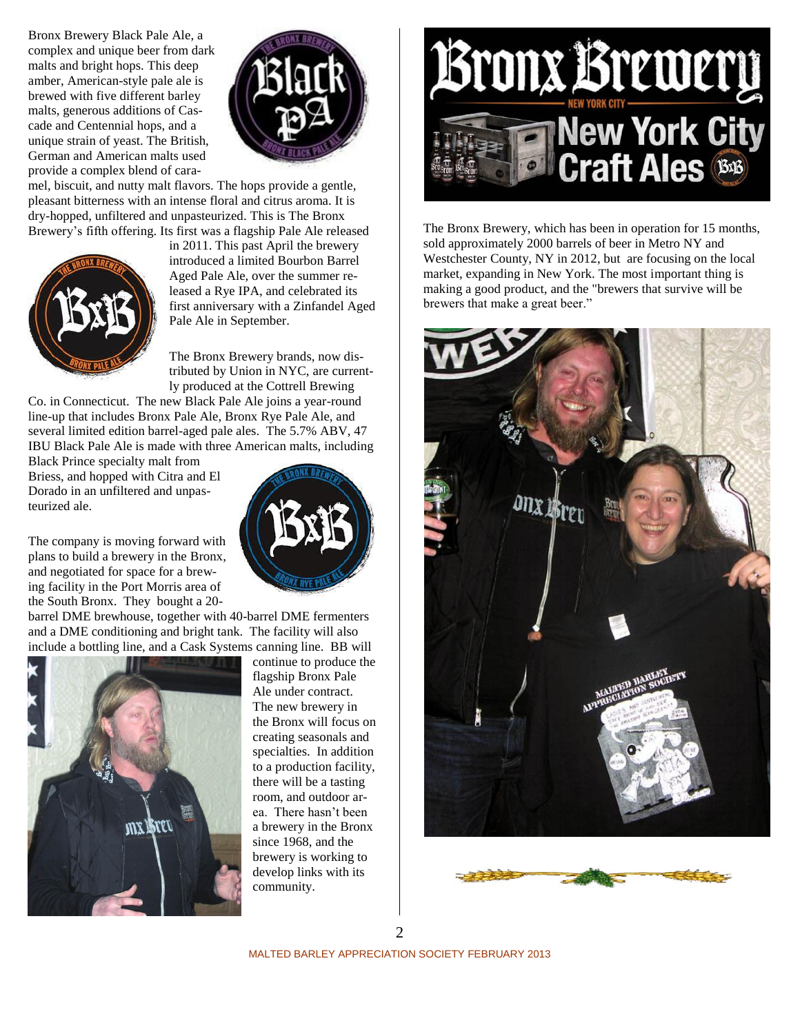Bronx Brewery Black Pale Ale, a complex and unique beer from dark malts and bright hops. This deep amber, American-style pale ale is brewed with five different barley malts, generous additions of Cascade and Centennial hops, and a unique strain of yeast. The British, German and American malts used provide a complex blend of cara-



mel, biscuit, and nutty malt flavors. The hops provide a gentle, pleasant bitterness with an intense floral and citrus aroma. It is dry-hopped, unfiltered and unpasteurized. This is The Bronx Brewery's fifth offering. Its first was a flagship Pale Ale released



in 2011. This past April the brewery introduced a limited Bourbon Barrel Aged Pale Ale, over the summer released a Rye IPA, and celebrated its first anniversary with a Zinfandel Aged Pale Ale in September.

The Bronx Brewery brands, now distributed by Union in NYC, are currently produced at the Cottrell Brewing

Co. in Connecticut. The new Black Pale Ale joins a year-round line-up that includes Bronx Pale Ale, Bronx Rye Pale Ale, and several limited edition barrel-aged pale ales. The 5.7% ABV, 47 IBU Black Pale Ale is made with three American malts, including

Black Prince specialty malt from Briess, and hopped with Citra and El Dorado in an unfiltered and unpasteurized ale.

The company is moving forward with plans to build a brewery in the Bronx, and negotiated for space for a brewing facility in the Port Morris area of the South Bronx. They bought a 20-

barrel DME brewhouse, together with 40-barrel DME fermenters and a DME conditioning and bright tank. The facility will also include a bottling line, and a Cask Systems canning line. BB will



continue to produce the flagship Bronx Pale Ale under contract. The new brewery in the Bronx will focus on creating seasonals and specialties. In addition to a production facility, there will be a tasting room, and outdoor area. There hasn't been a brewery in the Bronx since 1968, and the brewery is working to develop links with its

community.



The Bronx Brewery, which has been in operation for 15 months, sold approximately 2000 barrels of beer in Metro NY and Westchester County, NY in 2012, but are focusing on the local market, expanding in New York. The most important thing is making a good product, and the "brewers that survive will be brewers that make a great beer."